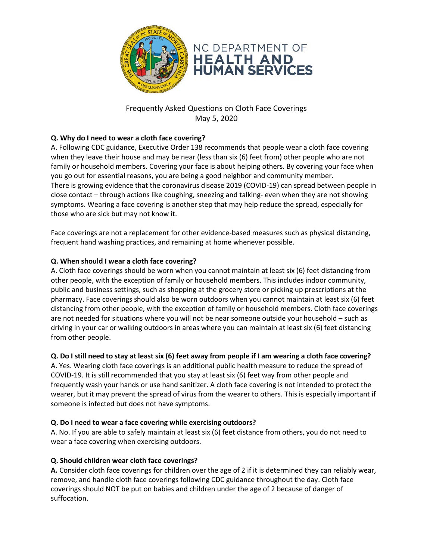



Frequently Asked Questions on Cloth Face Coverings May 5, 2020

# **Q. Why do I need to wear a cloth face covering?**

A. Following CDC guidance, Executive Order 138 recommends that people wear a cloth face covering when they leave their house and may be near (less than six (6) feet from) other people who are not family or household members. Covering your face is about helping others. By covering your face when you go out for essential reasons, you are being a good neighbor and community member. There is growing evidence that the coronavirus disease 2019 (COVID-19) can spread between people in close contact – through actions like coughing, sneezing and talking- even when they are not showing symptoms. Wearing a face covering is another step that may help reduce the spread, especially for those who are sick but may not know it.

Face coverings are not a replacement for other evidence-based measures such as physical distancing, frequent hand washing practices, and remaining at home whenever possible.

## **Q. When should I wear a cloth face covering?**

A. Cloth face coverings should be worn when you cannot maintain at least six (6) feet distancing from other people, with the exception of family or household members. This includes indoor community, public and business settings, such as shopping at the grocery store or picking up prescriptions at the pharmacy. Face coverings should also be worn outdoors when you cannot maintain at least six (6) feet distancing from other people, with the exception of family or household members. Cloth face coverings are not needed for situations where you will not be near someone outside your household – such as driving in your car or walking outdoors in areas where you can maintain at least six (6) feet distancing from other people.

## **Q. Do I still need to stay at least six (6) feet away from people if I am wearing a cloth face covering?**

A. Yes. Wearing cloth face coverings is an additional public health measure to reduce the spread of COVID-19. It is still recommended that you stay at least six (6) feet way from other people and frequently wash your hands or use hand sanitizer. A cloth face covering is not intended to protect the wearer, but it may prevent the spread of virus from the wearer to others. This is especially important if someone is infected but does not have symptoms.

#### **Q. Do I need to wear a face covering while exercising outdoors?**

A. No. If you are able to safely maintain at least six (6) feet distance from others, you do not need to wear a face covering when exercising outdoors.

#### **Q. Should children wear cloth face coverings?**

**A.** Consider cloth face coverings for children over the age of 2 if it is determined they can reliably wear, remove, and handle cloth face coverings following CDC guidance throughout the day. Cloth face coverings should NOT be put on babies and children under the age of 2 because of danger of suffocation.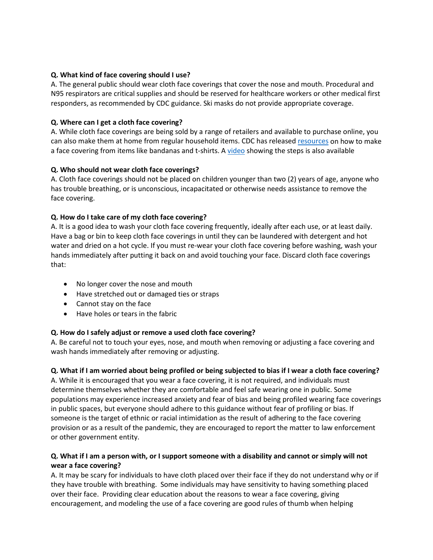### **Q. What kind of face covering should I use?**

A. The general public should wear cloth face coverings that cover the nose and mouth. Procedural and N95 respirators are critical supplies and should be reserved for healthcare workers or other medical first responders, as recommended by CDC guidance. Ski masks do not provide appropriate coverage.

## **Q. Where can I get a cloth face covering?**

A. While cloth face coverings are being sold by a range of retailers and available to purchase online, you can also make them at home from regular household items. CDC has released [resources](https://www.cdc.gov/coronavirus/2019-ncov/prevent-getting-sick/diy-cloth-face-coverings.html) on how to make a face covering from items like bandanas and t-shirts. A [video](https://www.youtube.com/watch?v=tPx1yqvJgf4) showing the steps is also available

### **Q. Who should not wear cloth face coverings?**

A. Cloth face coverings should not be placed on children younger than two (2) years of age, anyone who has trouble breathing, or is unconscious, incapacitated or otherwise needs assistance to remove the face covering.

### **Q. How do I take care of my cloth face covering?**

A. It is a good idea to wash your cloth face covering frequently, ideally after each use, or at least daily. Have a bag or bin to keep cloth face coverings in until they can be laundered with detergent and hot water and dried on a hot cycle. If you must re-wear your cloth face covering before washing, wash your hands immediately after putting it back on and avoid touching your face. Discard cloth face coverings that:

- No longer cover the nose and mouth
- Have stretched out or damaged ties or straps
- Cannot stay on the face
- Have holes or tears in the fabric

## **Q. How do I safely adjust or remove a used cloth face covering?**

A. Be careful not to touch your eyes, nose, and mouth when removing or adjusting a face covering and wash hands immediately after removing or adjusting.

#### **Q. What if I am worried about being profiled or being subjected to bias if I wear a cloth face covering?**

A. While it is encouraged that you wear a face covering, it is not required, and individuals must determine themselves whether they are comfortable and feel safe wearing one in public. Some populations may experience increased anxiety and fear of bias and being profiled wearing face coverings in public spaces, but everyone should adhere to this guidance without fear of profiling or bias. If someone is the target of ethnic or racial intimidation as the result of adhering to the face covering provision or as a result of the pandemic, they are encouraged to report the matter to law enforcement or other government entity.

## **Q. What if I am a person with, or I support someone with a disability and cannot or simply will not wear a face covering?**

A. It may be scary for individuals to have cloth placed over their face if they do not understand why or if they have trouble with breathing. Some individuals may have sensitivity to having something placed over their face. Providing clear education about the reasons to wear a face covering, giving encouragement, and modeling the use of a face covering are good rules of thumb when helping